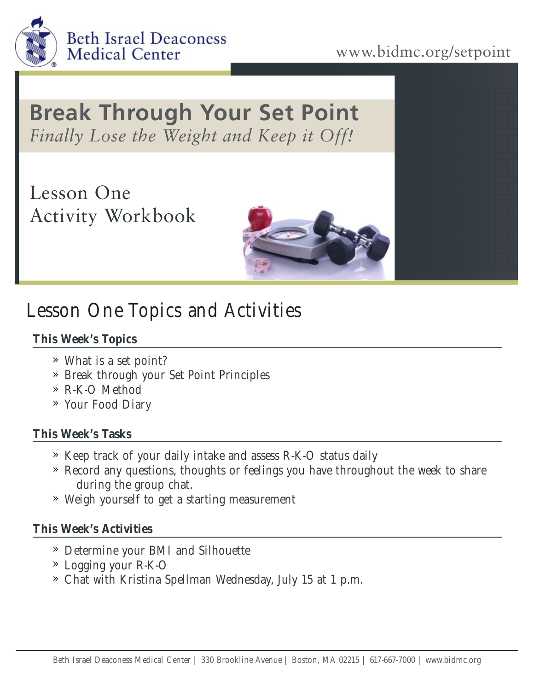

### www.bidmc.org/setpoint

## **Break Through Your Set Point** *Finally Lose the Weight and Keep it Off!*

Lesson One Activity Workbook



# Lesson One Topics and Activities

#### **This Week's Topics**

- What is a set point? »
- » Break through your Set Point Principles
- R-K-O Method »
- Your Food Diary »

#### **This Week's Tasks**

- » Keep track of your daily intake and assess R-K-O status daily
- » Record any questions, thoughts or feelings you have throughout the week to share during the group chat.
- Weigh yourself to get a starting measurement »

#### **This Week's Activities**

- Determine your BMI and Silhouette »
- Logging your R-K-O »
- Chat with Kristina Spellman Wednesday, July 15 at 1 p.m. »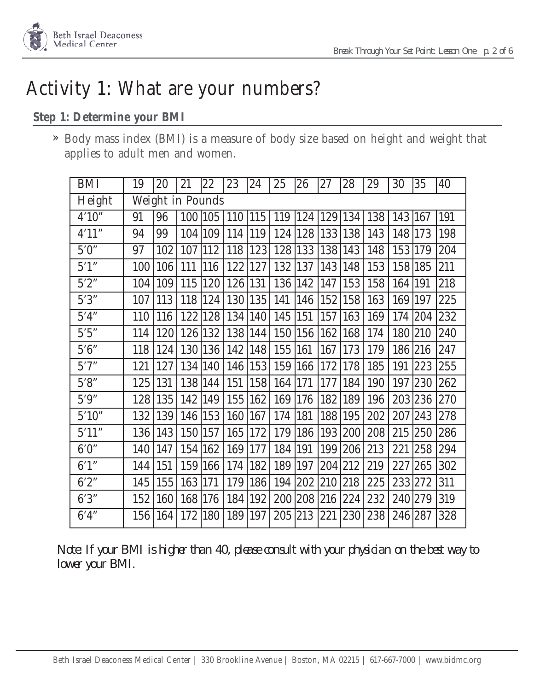

## Activity 1: What are your numbers?

#### **Step 1: Determine your BMI**

Body mass index (BMI) is a measure of body size based on height and weight that » applies to adult men and women.

| <b>BMI</b> | 19               | 20  | 21  | 22            | 23  | 24         | 25  | 26      | 27          | 28  | 29  | 30        | 35      | 40  |
|------------|------------------|-----|-----|---------------|-----|------------|-----|---------|-------------|-----|-----|-----------|---------|-----|
| Height     | Weight in Pounds |     |     |               |     |            |     |         |             |     |     |           |         |     |
| 4'10''     | 91               | 96  | 100 | 105           | 110 | 115        | 119 |         | 124 129 134 |     | 138 | 143 167   |         | 191 |
| 4'11"      | 94               | 99  |     | 104   109     | 114 | 119        | 124 | 128     | 133 138     |     | 143 | 148   173 |         | 198 |
| 5'0''      | 97               | 102 | 107 | 112           | 118 | 123        | 128 | 133     | 138         | 143 | 148 | 153 179   |         | 204 |
| $5'1'$     | 100              | 106 | 111 | 116           | 122 | 127        | 132 | 137     | 143         | 148 | 153 | 158 185   |         | 211 |
| $5'2'$     | 104              | 109 | 115 | $ 120\rangle$ | 126 | 131        | 136 | 142     | 147         | 153 | 158 | 164       | 191     | 218 |
| $5'3"$     | 107              | 113 | 118 | 124           | 130 | 135        | 141 | 146     | 152         | 158 | 163 | 169       | 197     | 225 |
| 5'4"       | 110              | 116 | 122 | 128           | 134 | 140        | 145 | 151     | 157         | 163 | 169 | 174       | 204     | 232 |
| 5'5"       | 114              | 120 |     | 126 132       | 138 | 144        | 150 | 156     | 162         | 168 | 174 | 180       | 210     | 240 |
| $5.6"$     | 118              | 124 |     | 130 136       | 142 | 148        | 155 | 161     | 167         | 173 | 179 | 186 216   |         | 247 |
| 5'7''      | 121              | 127 |     | 134 140       | 146 | 153        | 159 | 166     | 172         | 178 | 185 | 191       | 223     | 255 |
| 5'8"       | 125              | 131 |     | 138 144       | 151 | 158        | 164 | 171     | 177         | 184 | 190 | 197       | 230     | 262 |
| $5'9"$     | 128              | 135 | 142 | $ 149\rangle$ | 155 | 162        | 169 | 176     | 182         | 189 | 196 |           | 203 236 | 270 |
| $5'10"$    | 132              | 139 | 146 | $ 153\rangle$ | 160 | 167        | 174 | 181     | 188         | 195 | 202 | 207       | 243     | 278 |
| 5'11"      | 136              | 143 | 150 | 157           | 165 | 172        | 179 | 186     | 193         | 200 | 208 | 215       | 250     | 286 |
| 6'0''      | 140              | 147 | 154 | $ 162\rangle$ | 169 | <b>177</b> | 184 | 191     | 199         | 206 | 213 | 221       | 258     | 294 |
| 6'1'       | 144              | 151 | 159 | 166           | 174 | 182        | 189 | 197     | 204         | 212 | 219 | 227       | 265     | 302 |
| 6'2''      | 145              | 155 | 163 | 171           | 179 | 186        | 194 | 202 210 |             | 218 | 225 |           | 233 272 | 311 |
| 6'3''      | 152              | 160 | 168 | 176           | 184 | 192        | 200 | 208     | 216         | 224 | 232 | 240       | 279     | 319 |
| 6'4'       | 156              | 164 | 172 | 180           | 189 | 197        | 205 | 213     | 221         | 230 | 238 | 246 287   |         | 328 |

*Note: If your BMI is higher than 40, please consult with your physician on the best way to lower your BMI.*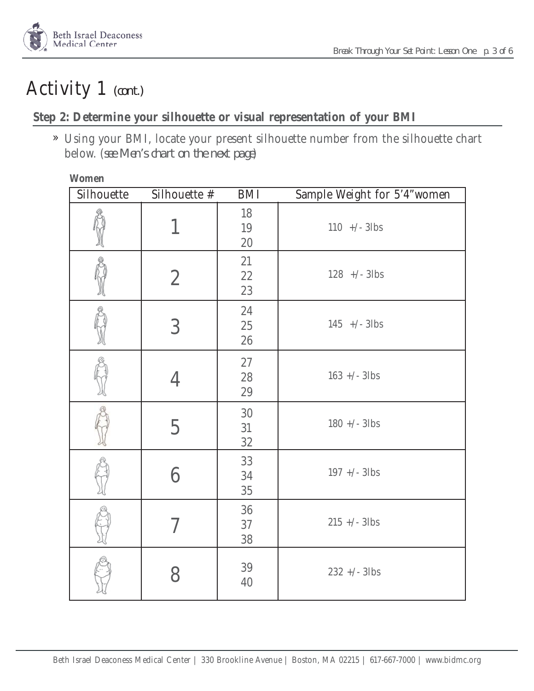

## Activity 1 *(cont.)*

#### **Step 2: Determine your silhouette or visual representation of your BMI**

Using your BMI, locate your present silhouette number from the silhouette chart » below. (*see Men's chart on the next page*)

#### **Women**

| Silhouette | Silhouette #   | BMI                        | Sample Weight for 5'4"women |
|------------|----------------|----------------------------|-----------------------------|
|            | 1              | 18<br>19<br>$20\,$         | $110$ +/- 3lbs              |
|            | $\overline{2}$ | 21<br>22<br>23             | $128$ +/- 3lbs              |
|            | $\overline{3}$ | $24\,$<br>$25\,$<br>$26\,$ | $145$ +/- 3lbs              |
|            | 4              | $27\,$<br>$28\,$<br>$29\,$ | $163 +/- 3$ lbs             |
|            | 5              | $30\,$<br>31<br>$32\,$     | $180 +/- 3$ lbs             |
|            | 6              | 33<br>$34\,$<br>$35\,$     | $197 +/- 3$ lbs             |
|            |                | 36<br>37<br>$38\,$         | $215 +/- 3$ lbs             |
|            | 8              | $39\,$<br>40               | $232 +/- 3$ lbs             |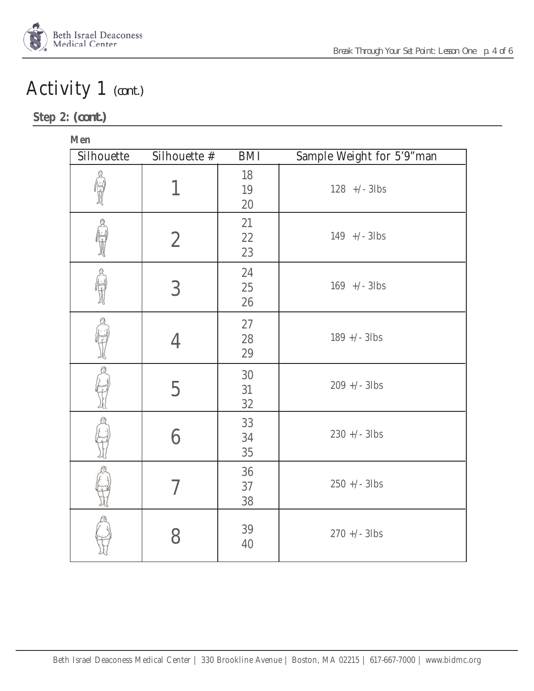

# Activity 1 *(cont.)*

### **Step 2:** *(cont.)*

| m.<br>$\sim$ |  |
|--------------|--|
|--------------|--|

| Silhouette | Silhouette #   | <b>BMI</b>                  | Sample Weight for 5'9"man |
|------------|----------------|-----------------------------|---------------------------|
|            | 1              | 18<br>19<br>20              | $128$ +/- 3lbs            |
|            | $\overline{2}$ | 21<br>$2\sqrt{2}$<br>23     | $149$ +/- 3lbs            |
|            | 3              | 24<br>$25\,$<br>$26\,$      | $169$ +/- 3lbs            |
|            | 4              | $27\,$<br>$28\,$<br>$29\,$  | $189 +/- 3$ lbs           |
|            | 5              | $30\,$<br>31<br>$3\sqrt{2}$ | $209 +/- 3$ lbs           |
|            | 6              | 33<br>34<br>$35\,$          | $230 +/- 3$ lbs           |
|            | 7              | $36\,$<br>37<br>38          | $250 +/- 3$ lbs           |
|            | 8              | 39<br>40                    | $270 +/- 3$ lbs           |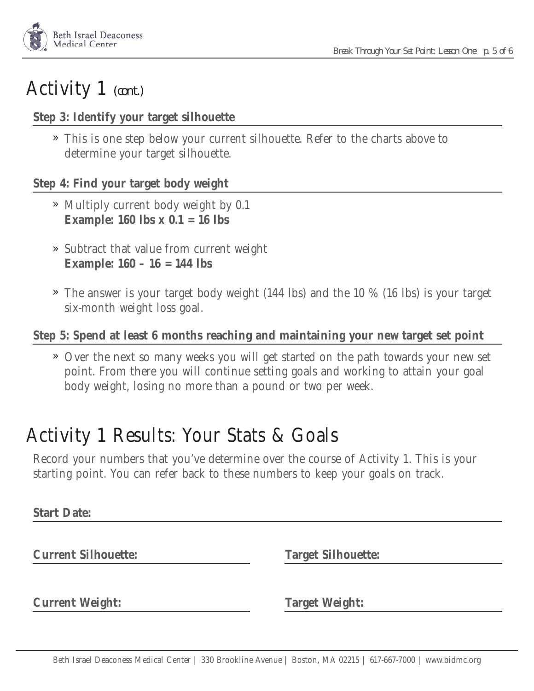

### Activity 1 *(cont.)*

#### **Step 3: Identify your target silhouette**

This is one step below your current silhouette. Refer to the charts above to » determine your target silhouette.

#### **Step 4: Find your target body weight**

- » Multiply current body weight by 0.1 **Example: 160 lbs x 0.1 = 16 lbs**
- » Subtract that value from current weight **Example: 160 – 16 = 144 lbs**
- The answer is your target body weight (144 lbs) and the 10 % (16 lbs) is your target » six-month weight loss goal.

#### **Step 5: Spend at least 6 months reaching and maintaining your new target set point**

Over the next so many weeks you will get started on the path towards your new set » point. From there you will continue setting goals and working to attain your goal body weight, losing no more than a pound or two per week.

### Activity 1 Results: Your Stats & Goals

Record your numbers that you've determine over the course of Activity 1. This is your starting point. You can refer back to these numbers to keep your goals on track.

**Start Date:**

**Current Silhouette: Target Silhouette:**

**Current Weight: Target Weight:**